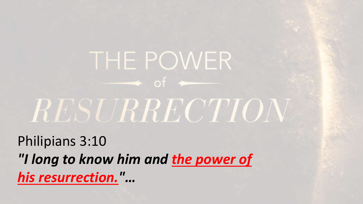Philipians 3:10 *"I long to know him and the power of his resurrection."…*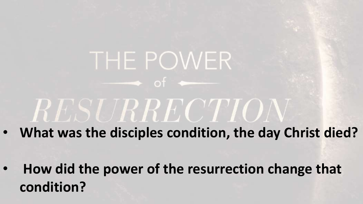- **What was the disciples condition, the day Christ died?**
	- **How did the power of the resurrection change that condition?**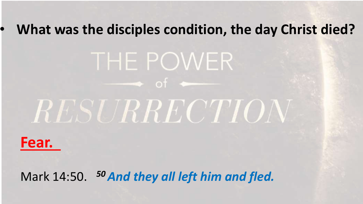# THE POWER  $\longrightarrow$  of  $\longrightarrow$ RESURRECTION



Mark 14:50. *50And they all left him and fled.*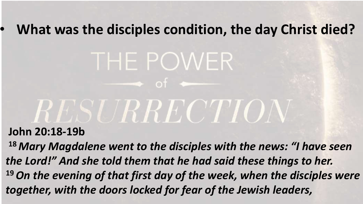# THE POWER  $\longrightarrow$  of  $\longrightarrow$ RESURRECTION

#### **John 20:18-19b**

**<sup>18</sup>** *Mary Magdalene went to the disciples with the news: "I have seen the Lord!" And she told them that he had said these things to her.* **<sup>19</sup>***On the evening of that first day of the week, when the disciples were together, with the doors locked for fear of the Jewish leaders,*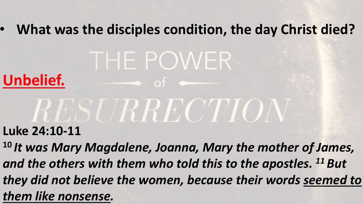## THE POWER **Unbelief.**   $\bullet$  of  $\bullet$ RESURRECTION

**Luke 24:10-11**

**<sup>10</sup>** *It was Mary Magdalene, Joanna, Mary the mother of James, and the others with them who told this to the apostles. <sup>11</sup> But they did not believe the women, because their words seemed to them like nonsense.*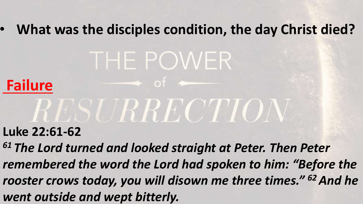# THE POWER

 $\bullet$  of  $\bullet$ 

### **Failure**

# *RESURRECTION*

### **Luke 22:61-62**

*<sup>61</sup> The Lord turned and looked straight at Peter. Then Peter remembered the word the Lord had spoken to him: "Before the rooster crows today, you will disown me three times." <sup>62</sup>And he went outside and wept bitterly.*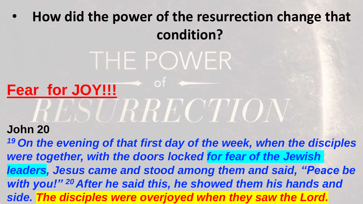### THE POWER  $\bullet$  of : **Fear for JOY!!!** RESURRECTION **John 20**

*<sup>19</sup> On the evening of that first day of the week, when the disciples were together, with the doors locked for fear of the Jewish leaders, Jesus came and stood among them and said, "Peace be with you!" <sup>20</sup> After he said this, he showed them his hands and side. The disciples were overjoyed when they saw the Lord.*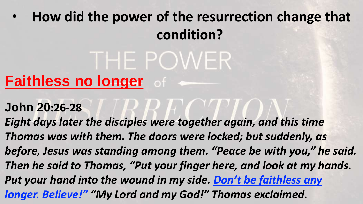## THE POWER **Faithless no longer** of

- **John 20:26-28**
- *Eight days later the disciples were together again, and this time Thomas was with them. The doors were locked; but suddenly, as before, Jesus was standing among them. "Peace be with you," he said. Then he said to Thomas, "Put your finger here, and look at my hands. Put your hand into the wound in my side. Don't be faithless any longer. Believe!" "My Lord and my God!" Thomas exclaimed.*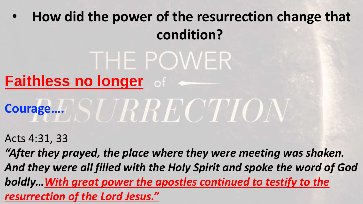## **Faithless no longer** of

# **Courage….**

THE POWER

Acts 4:31, 33

*"After they prayed, the place where they were meeting was shaken. And they were all filled with the Holy Spirit and spoke the word of God boldly…With great power the apostles continued to testify to the resurrection of the Lord Jesus."*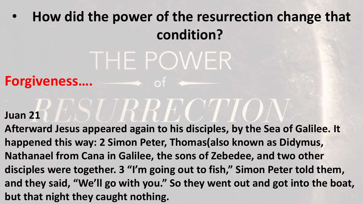# THE POWER

**Forgiveness….**

#### **Juan 21**

**Afterward Jesus appeared again to his disciples, by the Sea of Galilee. It happened this way: 2 Simon Peter, Thomas(also known as Didymus, Nathanael from Cana in Galilee, the sons of Zebedee, and two other disciples were together. 3 "I'm going out to fish," Simon Peter told them, and they said, "We'll go with you." So they went out and got into the boat, but that night they caught nothing.** 

*SURRECTIO*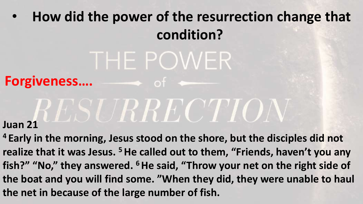## THE POWER

### **Forgiveness….**

# **Juan 21 ELESTRE CTION**

 $\rightarrow$  of  $\rightarrow$ 

**<sup>4</sup> Early in the morning, Jesus stood on the shore, but the disciples did not realize that it was Jesus. <sup>5</sup>He called out to them, "Friends, haven't you any fish?" "No," they answered. <sup>6</sup>He said, "Throw your net on the right side of the boat and you will find some. "When they did, they were unable to haul the net in because of the large number of fish.**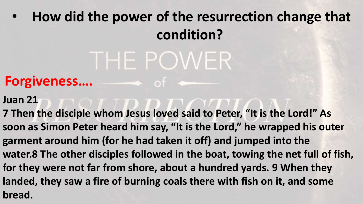# THE POWER

### Forgiveness.... **Forgiveness....**

- **Juan 21**
- **7 Then the disciple whom Jesus loved said to Peter, "It is the Lord!" As soon as Simon Peter heard him say, "It is the Lord," he wrapped his outer garment around him (for he had taken it off) and jumped into the water.8 The other disciples followed in the boat, towing the net full of fish, for they were not far from shore, about a hundred yards. 9 When they landed, they saw a fire of burning coals there with fish on it, and some bread.**